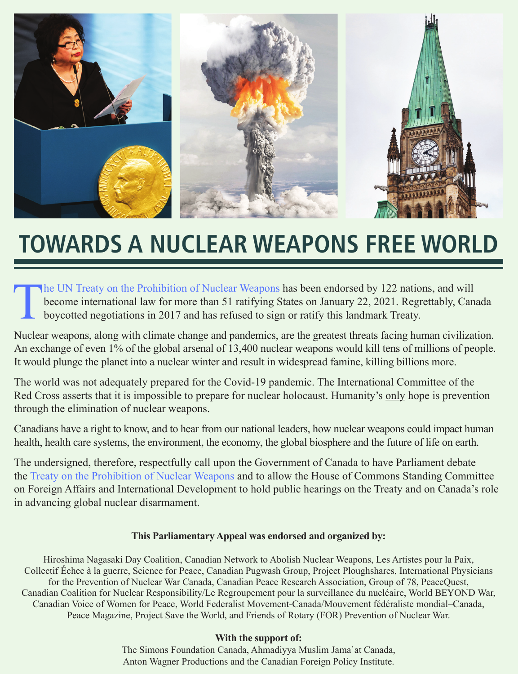

## **TOWARDS A NUCLEAR WEAPONS FREE WORLD**

The UN Treaty on the Prohibition of Nuclear Weapons has been endorsed by 122 nations, and will become international law for more than 51 ratifying States on January 22, 2021. Regrettably, Can boycotted negotiations in 2017 become international law for more than 51 ratifying States on January 22, 2021. Regrettably, Canada boycotted negotiations in 2017 and has refused to sign or ratify this landmark Treaty.

Nuclear weapons, along with climate change and pandemics, are the greatest threats facing human civilization. An exchange of even 1% of the global arsenal of 13,400 nuclear weapons would kill tens of millions of people. It would plunge the planet into a nuclear winter and result in widespread famine, killing billions more.

The world was not adequately prepared for the Covid-19 pandemic. The International Committee of the Red Cross asserts that it is impossible to prepare for nuclear holocaust. Humanity's only hope is prevention through the elimination of nuclear weapons.

Canadians have a right to know, and to hear from our national leaders, how nuclear weapons could impact human health, health care systems, the environment, the economy, the global biosphere and the future of life on earth.

The undersigned, therefore, respectfully call upon the Government of Canada to have Parliament debate the Treaty on the Prohibition of Nuclear Weapons and to allow the House of Commons Standing Committee on Foreign Affairs and International Development to hold public hearings on the Treaty and on Canada's role in advancing global nuclear disarmament.

#### **This Parliamentary Appeal was endorsed and organized by:**

Hiroshima Nagasaki Day Coalition, Canadian Network to Abolish Nuclear Weapons, Les Artistes pour la Paix, Collectif Échec à la guerre, Science for Peace, Canadian Pugwash Group, Project Ploughshares, International Physicians for the Prevention of Nuclear War Canada, Canadian Peace Research Association, Group of 78, PeaceQuest, Canadian Coalition for Nuclear Responsibility/Le Regroupement pour la surveillance du nucléaire, World BEYOND War, Canadian Voice of Women for Peace, World Federalist Movement-Canada/Mouvement fédéraliste mondial–Canada, Peace Magazine, Project Save the World, and Friends of Rotary (FOR) Prevention of Nuclear War.

#### **With the support of:**

The Simons Foundation Canada, Ahmadiyya Muslim Jama`at Canada, Anton Wagner Productions and the Canadian Foreign Policy Institute.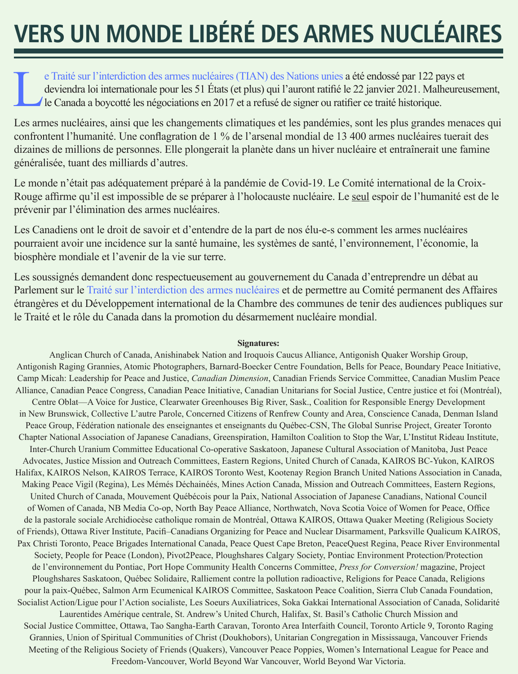# **VERS UN MONDE LIBÉRÉ DES ARMES NUCLÉAIRES**

e Traité sur l'interdiction des armes nucléaires (TIAN) des Nations unies a été endossé par 122 pays et deviendra loi internationale pour les 51 États (et plus) qui l'auront ratifié le 22 janvier 2021. Malheureur le Canada deviendra loi internationale pour les 51 États (et plus) qui l'auront ratifié le 22 janvier 2021. Malheureusement, le Canada a boycotté les négociations en 2017 et a refusé de signer ou ratifier ce traité historique.

Les armes nucléaires, ainsi que les changements climatiques et les pandémies, sont les plus grandes menaces qui confrontent l'humanité. Une conflagration de 1 % de l'arsenal mondial de 13 400 armes nucléaires tuerait des dizaines de millions de personnes. Elle plongerait la planète dans un hiver nucléaire et entraînerait une famine généralisée, tuant des milliards d'autres.

Le monde n'était pas adéquatement préparé à la pandémie de Covid-19. Le Comité international de la Croix-Rouge affirme qu'il est impossible de se préparer à l'holocauste nucléaire. Le seul espoir de l'humanité est de le prévenir par l'élimination des armes nucléaires.

Les Canadiens ont le droit de savoir et d'entendre de la part de nos élu-e-s comment les armes nucléaires pourraient avoir une incidence sur la santé humaine, les systèmes de santé, l'environnement, l'économie, la biosphère mondiale et l'avenir de la vie sur terre.

Les soussignés demandent donc respectueusement au gouvernement du Canada d'entreprendre un débat au Parlement sur le Traité sur l'interdiction des armes nucléaires et de permettre au Comité permanent des Affaires étrangères et du Développement international de la Chambre des communes de tenir des audiences publiques sur le Traité et le rôle du Canada dans la promotion du désarmement nucléaire mondial.

#### **Signatures:**

Anglican Church of Canada, Anishinabek Nation and Iroquois Caucus Alliance, Antigonish Quaker Worship Group, Antigonish Raging Grannies, Atomic Photographers, Barnard-Boecker Centre Foundation, Bells for Peace, Boundary Peace Initiative, Camp Micah: Leadership for Peace and Justice, *Canadian Dimension*, Canadian Friends Service Committee, Canadian Muslim Peace Alliance, Canadian Peace Congress, Canadian Peace Initiative, Canadian Unitarians for Social Justice, Centre justice et foi (Montréal), Centre Oblat—A Voice for Justice, Clearwater Greenhouses Big River, Sask., Coalition for Responsible Energy Development in New Brunswick, Collective L'autre Parole, Concerned Citizens of Renfrew County and Area, Conscience Canada, Denman Island Peace Group, Fédération nationale des enseignantes et enseignants du Québec-CSN, The Global Sunrise Project, Greater Toronto Chapter National Association of Japanese Canadians, Greenspiration, Hamilton Coalition to Stop the War, L'Institut Rideau Institute, Inter-Church Uranium Committee Educational Co-operative Saskatoon, Japanese Cultural Association of Manitoba, Just Peace Advocates, Justice Mission and Outreach Committees, Eastern Regions, United Church of Canada, KAIROS BC-Yukon, KAIROS Halifax, KAIROS Nelson, KAIROS Terrace, KAIROS Toronto West, Kootenay Region Branch United Nations Association in Canada, Making Peace Vigil (Regina), Les Mémés Déchainéés, Mines Action Canada, Mission and Outreach Committees, Eastern Regions, United Church of Canada, Mouvement Québécois pour la Paix, National Association of Japanese Canadians, National Council of Women of Canada, NB Media Co-op, North Bay Peace Alliance, Northwatch, Nova Scotia Voice of Women for Peace, Office de la pastorale sociale Archidiocèse catholique romain de Montréal, Ottawa KAIROS, Ottawa Quaker Meeting (Religious Society of Friends), Ottawa River Institute, Pacifi–Canadians Organizing for Peace and Nuclear Disarmament, Parksville Qualicum KAIROS, Pax Christi Toronto, Peace Brigades International Canada, Peace Quest Cape Breton, PeaceQuest Regina, Peace River Environmental Society, People for Peace (London), Pivot2Peace, Ploughshares Calgary Society, Pontiac Environment Protection/Protection de l'environnement du Pontiac, Port Hope Community Health Concerns Committee, *Press for Conversion!* magazine, Project Ploughshares Saskatoon, Québec Solidaire, Ralliement contre la pollution radioactive, Religions for Peace Canada, Religions pour la paix-Québec, Salmon Arm Ecumenical KAIROS Committee, Saskatoon Peace Coalition, Sierra Club Canada Foundation, Socialist Action/Ligue pour l'Action socialiste, Les Soeurs Auxiliatrices, Soka Gakkai International Association of Canada, Solidarité Laurentides Amérique centrale, St. Andrew's United Church, Halifax, St. Basil's Catholic Church Mission and Social Justice Committee, Ottawa, Tao Sangha-Earth Caravan, Toronto Area Interfaith Council, Toronto Article 9, Toronto Raging Grannies, Union of Spiritual Communities of Christ (Doukhobors), Unitarian Congregation in Mississauga, Vancouver Friends Meeting of the Religious Society of Friends (Quakers), Vancouver Peace Poppies, Women's International League for Peace and Freedom-Vancouver, World Beyond War Vancouver, World Beyond War Victoria.